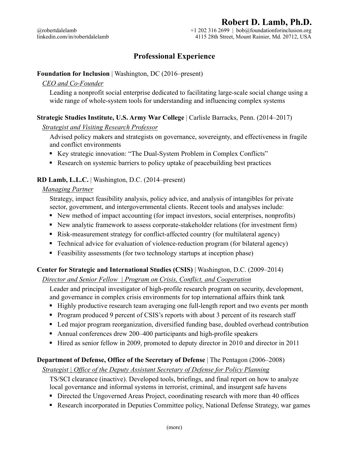@robertdalelamb +1 202 316 2699 | bob@foundationforinclusion.org 4115 28th Street, Mount Rainier, Md. 20712, USA

# **Professional Experience**

### **Foundation for Inclusion** | Washington, DC (2016–present)

### *CEO and Co-Founder*

Leading a nonprofit social enterprise dedicated to facilitating large-scale social change using a wide range of whole-system tools for understanding and influencing complex systems

### **Strategic Studies Institute, U.S. Army War College** | Carlisle Barracks, Penn. (2014–2017)

### *Strategist and Visiting Research Professor*

Advised policy makers and strategists on governance, sovereignty, and effectiveness in fragile and conflict environments

- Key strategic innovation: "The Dual-System Problem in Complex Conflicts"
- Research on systemic barriers to policy uptake of peacebuilding best practices

# **RD Lamb, L.L.C.** | Washington, D.C. (2014–present)

# *Managing Partner*

Strategy, impact feasibility analysis, policy advice, and analysis of intangibles for private sector, government, and intergovernmental clients. Recent tools and analyses include:

- New method of impact accounting (for impact investors, social enterprises, nonprofits)
- New analytic framework to assess corporate-stakeholder relations (for investment firm)
- Risk-measurement strategy for conflict-affected country (for multilateral agency)
- Technical advice for evaluation of violence-reduction program (for bilateral agency)
- Feasibility assessments (for two technology startups at inception phase)

# **Center for Strategic and International Studies (CSIS)** | Washington, D.C. (2009–2014)

# *Director and Senior Fellow | Program on Crisis, Conflict, and Cooperation*

Leader and principal investigator of high-profile research program on security, development, and governance in complex crisis environments for top international affairs think tank

- Highly productive research team averaging one full-length report and two events per month
- Program produced 9 percent of CSIS's reports with about 3 percent of its research staff
- Led major program reorganization, diversified funding base, doubled overhead contribution
- Annual conferences drew 200–400 participants and high-profile speakers
- Hired as senior fellow in 2009, promoted to deputy director in 2010 and director in 2011

# **Department of Defense, Office of the Secretary of Defense** | The Pentagon (2006–2008)

# *Strategist | Office of the Deputy Assistant Secretary of Defense for Policy Planning*

TS/SCI clearance (inactive). Developed tools, briefings, and final report on how to analyze local governance and informal systems in terrorist, criminal, and insurgent safe havens

- Directed the Ungoverned Areas Project, coordinating research with more than 40 offices
- Research incorporated in Deputies Committee policy, National Defense Strategy, war games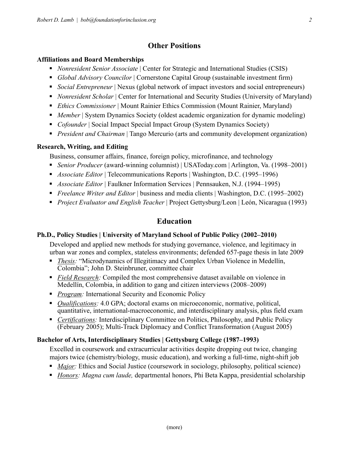# **Other Positions**

#### **Affiliations and Board Memberships**

- *Nonresident Senior Associate* | Center for Strategic and International Studies (CSIS)
- *Global Advisory Councilor* | Cornerstone Capital Group (sustainable investment firm)
- *Social Entrepreneur* | Nexus (global network of impact investors and social entrepreneurs)
- *Nonresident Scholar* | Center for International and Security Studies (University of Maryland)
- *Ethics Commissioner* | Mount Rainier Ethics Commission (Mount Rainier, Maryland)
- § *Member* | System Dynamics Society (oldest academic organization for dynamic modeling)
- *Cofounder* | Social Impact Special Impact Group (System Dynamics Society)
- *President and Chairman* | Tango Mercurio (arts and community development organization)

### **Research, Writing, and Editing**

Business, consumer affairs, finance, foreign policy, microfinance, and technology

- *Senior Producer* (award-winning columnist) | USAToday.com | Arlington, Va. (1998–2001)
- § *Associate Editor* | Telecommunications Reports | Washington, D.C. (1995–1996)
- § *Associate Editor* | Faulkner Information Services | Pennsauken, N.J. (1994–1995)
- *Freelance Writer and Editor* | business and media clients | Washington, D.C. (1995–2002)
- *Project Evaluator and English Teacher* | Project Gettysburg/Leon | León, Nicaragua (1993)

# **Education**

# **Ph.D., Policy Studies | University of Maryland School of Public Policy (2002–2010)**

Developed and applied new methods for studying governance, violence, and legitimacy in urban war zones and complex, stateless environments; defended 657-page thesis in late 2009

- § *Thesis:* "Microdynamics of Illegitimacy and Complex Urban Violence in Medellín, Colombia"; John D. Steinbruner, committee chair
- *Field Research:* Compiled the most comprehensive dataset available on violence in Medellín, Colombia, in addition to gang and citizen interviews (2008–2009)
- *Program:* International Security and Economic Policy
- § *Qualifications:* 4.0 GPA; doctoral exams on microeconomic, normative, political, quantitative, international-macroeconomic, and interdisciplinary analysis, plus field exam
- *Certifications:* Interdisciplinary Committee on Politics, Philosophy, and Public Policy (February 2005); Multi-Track Diplomacy and Conflict Transformation (August 2005)

# **Bachelor of Arts, Interdisciplinary Studies | Gettysburg College (1987–1993)**

Excelled in coursework and extracurricular activities despite dropping out twice, changing majors twice (chemistry/biology, music education), and working a full-time, night-shift job

- *Major*: Ethics and Social Justice (coursework in sociology, philosophy, political science)
- *Honors: Magna cum laude*, departmental honors, Phi Beta Kappa, presidential scholarship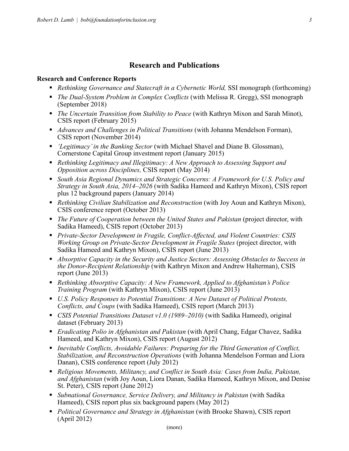# **Research and Publications**

#### **Research and Conference Reports**

- *Rethinking Governance and Statecraft in a Cybernetic World*, SSI monograph (forthcoming)
- *The Dual-System Problem in Complex Conflicts* (with Melissa R. Gregg), SSI monograph (September 2018)
- *The Uncertain Transition from Stability to Peace* (with Kathryn Mixon and Sarah Minot), CSIS report (February 2015)
- § *Advances and Challenges in Political Transitions* (with Johanna Mendelson Forman), CSIS report (November 2014)
- *'Legitimacy' in the Banking Sector* (with Michael Shavel and Diane B. Glossman), Cornerstone Capital Group investment report (January 2015)
- *Rethinking Legitimacy and Illegitimacy: A New Approach to Assessing Support and Opposition across Disciplines,* CSIS report (May 2014)
- *South Asia Regional Dynamics and Strategic Concerns: A Framework for U.S. Policy and Strategy in South Asia, 2014–2026* (with Sadika Hameed and Kathryn Mixon), CSIS report plus 12 background papers (January 2014)
- *Rethinking Civilian Stabilization and Reconstruction* (with Joy Aoun and Kathryn Mixon), CSIS conference report (October 2013)
- *The Future of Cooperation between the United States and Pakistan* (project director, with Sadika Hameed), CSIS report (October 2013)
- *Private-Sector Development in Fragile, Conflict-Affected, and Violent Countries: CSIS Working Group on Private-Sector Development in Fragile States* (project director, with Sadika Hameed and Kathryn Mixon), CSIS report (June 2013)
- *Absorptive Capacity in the Security and Justice Sectors: Assessing Obstacles to Success in the Donor-Recipient Relationship* (with Kathryn Mixon and Andrew Halterman), CSIS report (June 2013)
- *Rethinking Absorptive Capacity: A New Framework, Applied to Afghanistan's Police Training Program* (with Kathryn Mixon), CSIS report (June 2013)
- § *U.S. Policy Responses to Potential Transitions: A New Dataset of Political Protests, Conflicts, and Coups* (with Sadika Hameed), CSIS report (March 2013)
- § *CSIS Potential Transitions Dataset v1.0 (1989–2010)* (with Sadika Hameed), original dataset (February 2013)
- *Eradicating Polio in Afghanistan and Pakistan* (with April Chang, Edgar Chavez, Sadika Hameed, and Kathryn Mixon), CSIS report (August 2012)
- *Inevitable Conflicts, Avoidable Failures: Preparing for the Third Generation of Conflict, Stabilization, and Reconstruction Operations* (with Johanna Mendelson Forman and Liora Danan), CSIS conference report (July 2012)
- *Religious Movements, Militancy, and Conflict in South Asia: Cases from India, Pakistan, and Afghanistan* (with Joy Aoun, Liora Danan, Sadika Hameed, Kathryn Mixon, and Denise St. Peter), CSIS report (June 2012)
- § *Subnational Governance, Service Delivery, and Militancy in Pakistan* (with Sadika Hameed), CSIS report plus six background papers (May 2012)
- *Political Governance and Strategy in Afghanistan* (with Brooke Shawn), CSIS report (April 2012)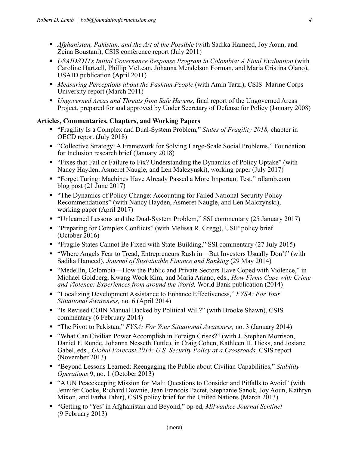- § *Afghanistan, Pakistan, and the Art of the Possible* (with Sadika Hameed, Joy Aoun, and Zeina Boustani), CSIS conference report (July 2011)
- *USAID/OTI's Initial Governance Response Program in Colombia: A Final Evaluation* (with Caroline Hartzell, Phillip McLean, Johanna Mendelson Forman, and Maria Cristina Olano), USAID publication (April 2011)
- *Measuring Perceptions about the Pashtun People* (with Amin Tarzi), CSIS–Marine Corps University report (March 2011)
- *Ungoverned Areas and Threats from Safe Havens*, final report of the Ungoverned Areas Project, prepared for and approved by Under Secretary of Defense for Policy (January 2008)

### **Articles, Commentaries, Chapters, and Working Papers**

- "Fragility Is a Complex and Dual-System Problem," *States of Fragility 2018*, chapter in OECD report (July 2018)
- "Collective Strategy: A Framework for Solving Large-Scale Social Problems," Foundation for Inclusion research brief (January 2018)
- "Fixes that Fail or Failure to Fix? Understanding the Dynamics of Policy Uptake" (with Nancy Hayden, Asmeret Naugle, and Len Malczynski), working paper (July 2017)
- "Forget Turing: Machines Have Already Passed a More Important Test," rdlamb.com blog post (21 June 2017)
- § "The Dynamics of Policy Change: Accounting for Failed National Security Policy Recommendations" (with Nancy Hayden, Asmeret Naugle, and Len Malczynski), working paper (April 2017)
- "Unlearned Lessons and the Dual-System Problem," SSI commentary (25 January 2017)
- "Preparing for Complex Conflicts" (with Melissa R. Gregg), USIP policy brief (October 2016)
- § "Fragile States Cannot Be Fixed with State-Building," SSI commentary (27 July 2015)
- "Where Angels Fear to Tread, Entrepreneurs Rush in—But Investors Usually Don't" (with Sadika Hameed), *Journal of Sustainable Finance and Banking* (29 May 2014)
- "Medellín, Colombia—How the Public and Private Sectors Have Coped with Violence," in Michael Goldberg, Kwang Wook Kim, and Maria Ariano, eds., *How Firms Cope with Crime and Violence: Experiences from around the World,* World Bank publication (2014)
- § "Localizing Development Assistance to Enhance Effectiveness," *FYSA: For Your Situational Awareness,* no. 6 (April 2014)
- § "Is Revised COIN Manual Backed by Political Will?" (with Brooke Shawn), CSIS commentary (6 February 2014)
- § "The Pivot to Pakistan," *FYSA: For Your Situational Awareness,* no. 3 (January 2014)
- "What Can Civilian Power Accomplish in Foreign Crises?" (with J. Stephen Morrison, Daniel F. Runde, Johanna Nesseth Tuttle), in Craig Cohen, Kathleen H. Hicks, and Josiane Gabel, eds., *Global Forecast 2014: U.S. Security Policy at a Crossroads,* CSIS report (November 2013)
- "Beyond Lessons Learned: Reengaging the Public about Civilian Capabilities," *Stability Operations* 9, no. 1 (October 2013)
- "A UN Peacekeeping Mission for Mali: Questions to Consider and Pitfalls to Avoid" (with Jennifer Cooke, Richard Downie, Jean Francois Pactet, Stephanie Sanok, Joy Aoun, Kathryn Mixon, and Farha Tahir), CSIS policy brief for the United Nations (March 2013)
- "Getting to 'Yes' in Afghanistan and Beyond," op-ed, *Milwaukee Journal Sentinel* (9 February 2013)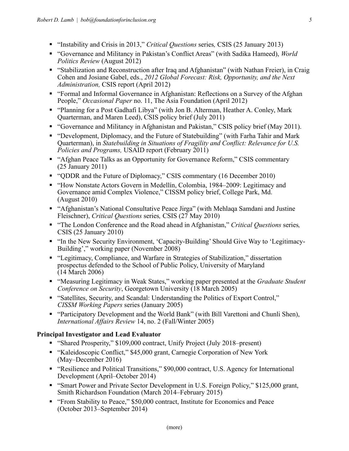- § "Instability and Crisis in 2013," *Critical Questions* series*,* CSIS (25 January 2013)
- "Governance and Militancy in Pakistan's Conflict Areas" (with Sadika Hameed), *World Politics Review* (August 2012)
- "Stabilization and Reconstruction after Iraq and Afghanistan" (with Nathan Freier), in Craig Cohen and Josiane Gabel, eds., *2012 Global Forecast: Risk, Opportunity, and the Next Administration,* CSIS report (April 2012)
- "Formal and Informal Governance in Afghanistan: Reflections on a Survey of the Afghan People," *Occasional Paper* no. 11, The Asia Foundation (April 2012)
- § "Planning for a Post Gadhafi Libya" (with Jon B. Alterman, Heather A. Conley, Mark Quarterman, and Maren Leed), CSIS policy brief (July 2011)
- "Governance and Militancy in Afghanistan and Pakistan," CSIS policy brief (May 2011).
- "Development, Diplomacy, and the Future of Statebuilding" (with Farha Tahir and Mark Quarterman), in *Statebuilding in Situations of Fragility and Conflict: Relevance for U.S. Policies and Programs,* USAID report (February 2011)
- "Afghan Peace Talks as an Opportunity for Governance Reform," CSIS commentary (25 January 2011)
- "QDDR and the Future of Diplomacy," CSIS commentary (16 December 2010)
- "How Nonstate Actors Govern in Medellín, Colombia, 1984–2009: Legitimacy and Governance amid Complex Violence," CISSM policy brief, College Park, Md. (August 2010)
- "Afghanistan's National Consultative Peace Jirga" (with Mehlaqa Samdani and Justine Fleischner), *Critical Questions* series*,* CSIS (27 May 2010)
- § "The London Conference and the Road ahead in Afghanistan," *Critical Questions* series*,* CSIS (25 January 2010)
- "In the New Security Environment, 'Capacity-Building' Should Give Way to 'Legitimacy-Building'," working paper (November 2008)
- "Legitimacy, Compliance, and Warfare in Strategies of Stabilization," dissertation prospectus defended to the School of Public Policy, University of Maryland (14 March 2006)
- "Measuring Legitimacy in Weak States," working paper presented at the *Graduate Student Conference on Security*, Georgetown University (18 March 2005)
- "Satellites, Security, and Scandal: Understanding the Politics of Export Control," *CISSM Working Papers* series (January 2005)
- "Participatory Development and the World Bank" (with Bill Varettoni and Chunli Shen), *International Affairs Review* 14, no. 2 (Fall/Winter 2005)

# **Principal Investigator and Lead Evaluator**

- "Shared Prosperity," \$109,000 contract, Unify Project (July 2018–present)
- "Kaleidoscopic Conflict," \$45,000 grant, Carnegie Corporation of New York (May–December 2016)
- "Resilience and Political Transitions," \$90,000 contract, U.S. Agency for International Development (April–October 2014)
- "Smart Power and Private Sector Development in U.S. Foreign Policy," \$125,000 grant, Smith Richardson Foundation (March 2014–February 2015)
- "From Stability to Peace," \$50,000 contract, Institute for Economics and Peace (October 2013–September 2014)